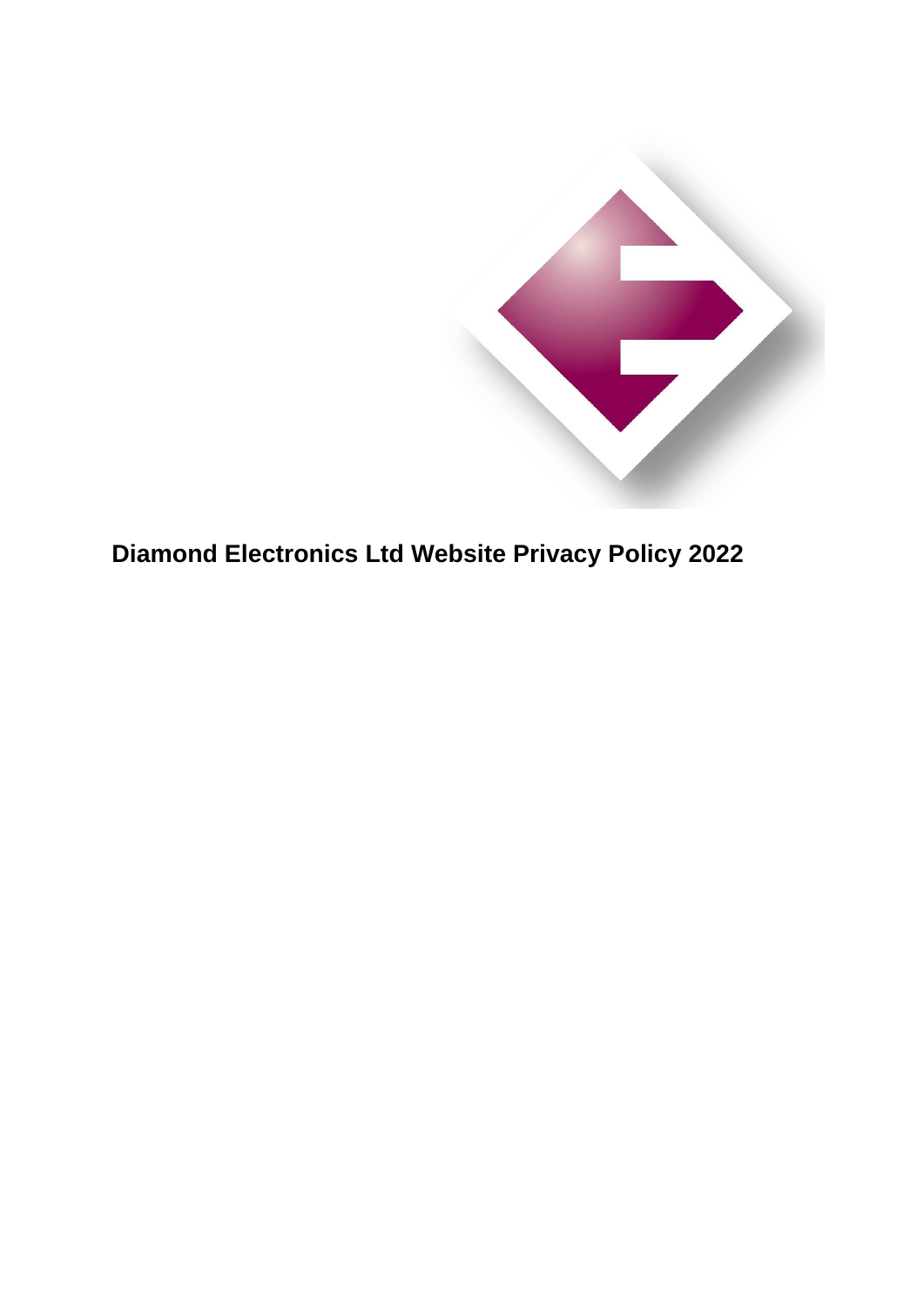

**Diamond Electronics Ltd Website Privacy Policy 2022**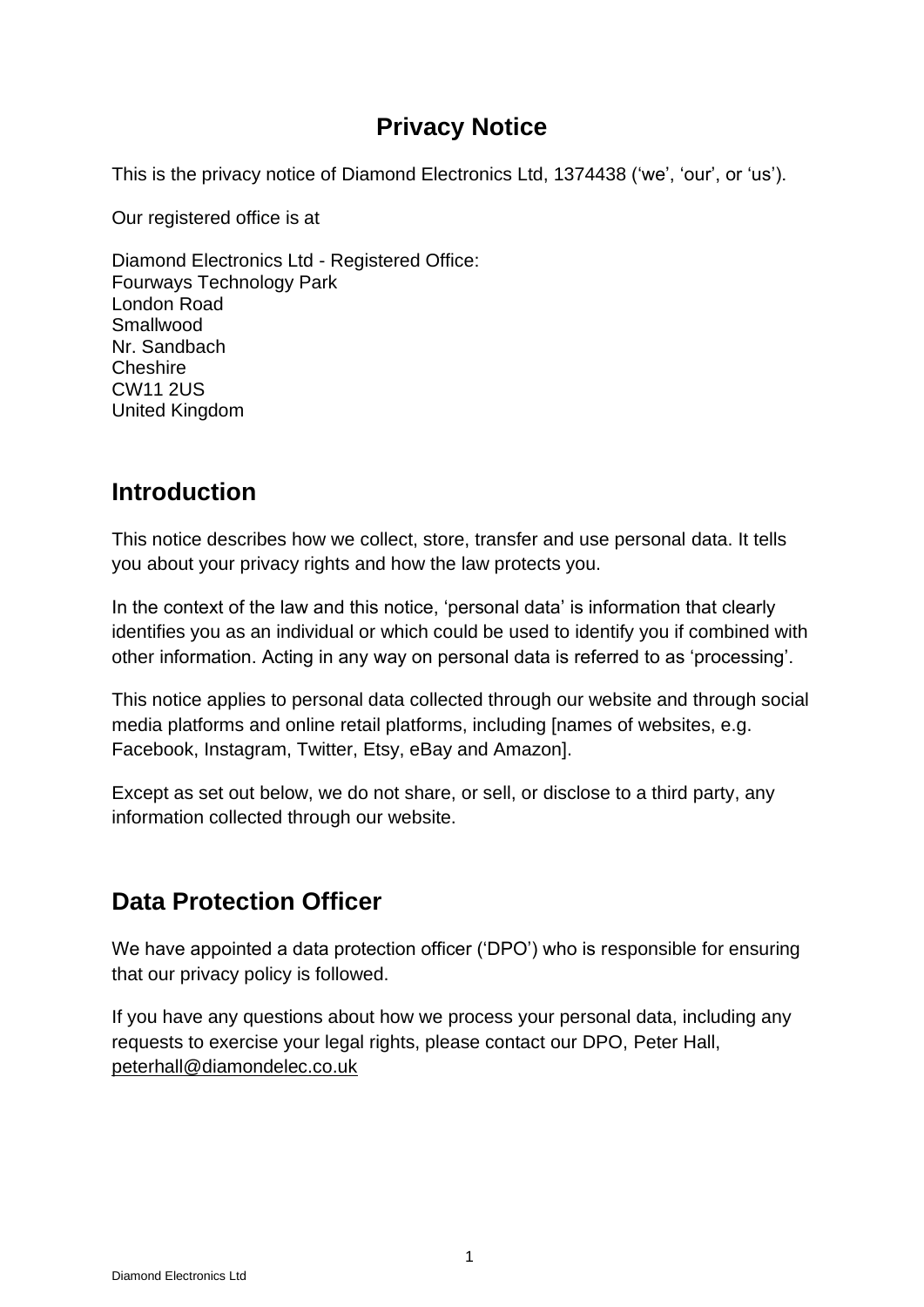## **Privacy Notice**

This is the privacy notice of Diamond Electronics Ltd, 1374438 ('we', 'our', or 'us').

Our registered office is at

Diamond Electronics Ltd - Registered Office: Fourways Technology Park London Road Smallwood Nr. Sandbach Cheshire CW11 2US United Kingdom

### **Introduction**

This notice describes how we collect, store, transfer and use personal data. It tells you about your privacy rights and how the law protects you.

In the context of the law and this notice, 'personal data' is information that clearly identifies you as an individual or which could be used to identify you if combined with other information. Acting in any way on personal data is referred to as 'processing'.

This notice applies to personal data collected through our website and through social media platforms and online retail platforms, including [names of websites, e.g. Facebook, Instagram, Twitter, Etsy, eBay and Amazon].

Except as set out below, we do not share, or sell, or disclose to a third party, any information collected through our website.

### **Data Protection Officer**

We have appointed a data protection officer ('DPO') who is responsible for ensuring that our privacy policy is followed.

If you have any questions about how we process your personal data, including any requests to exercise your legal rights, please contact our DPO, Peter Hall, [peterhall@diamondelec.co.uk](mailto:peterhall@diamondelec.co.uk)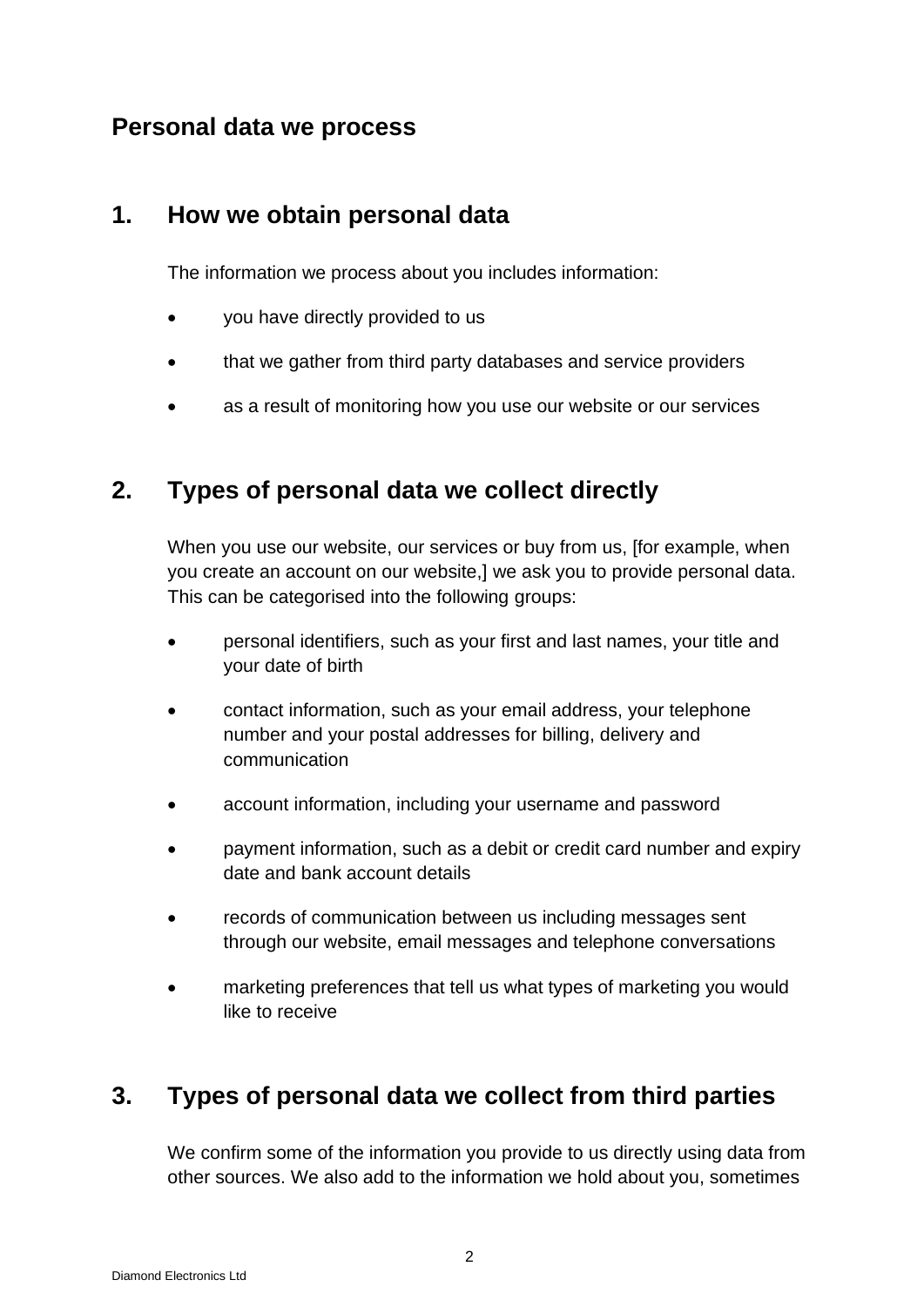### **Personal data we process**

#### **1. How we obtain personal data**

The information we process about you includes information:

- you have directly provided to us
- that we gather from third party databases and service providers
- as a result of monitoring how you use our website or our services

## **2. Types of personal data we collect directly**

When you use our website, our services or buy from us, [for example, when you create an account on our website,] we ask you to provide personal data. This can be categorised into the following groups:

- personal identifiers, such as your first and last names, your title and your date of birth
- contact information, such as your email address, your telephone number and your postal addresses for billing, delivery and communication
- account information, including your username and password
- payment information, such as a debit or credit card number and expiry date and bank account details
- records of communication between us including messages sent through our website, email messages and telephone conversations
- marketing preferences that tell us what types of marketing you would like to receive

# **3. Types of personal data we collect from third parties**

We confirm some of the information you provide to us directly using data from other sources. We also add to the information we hold about you, sometimes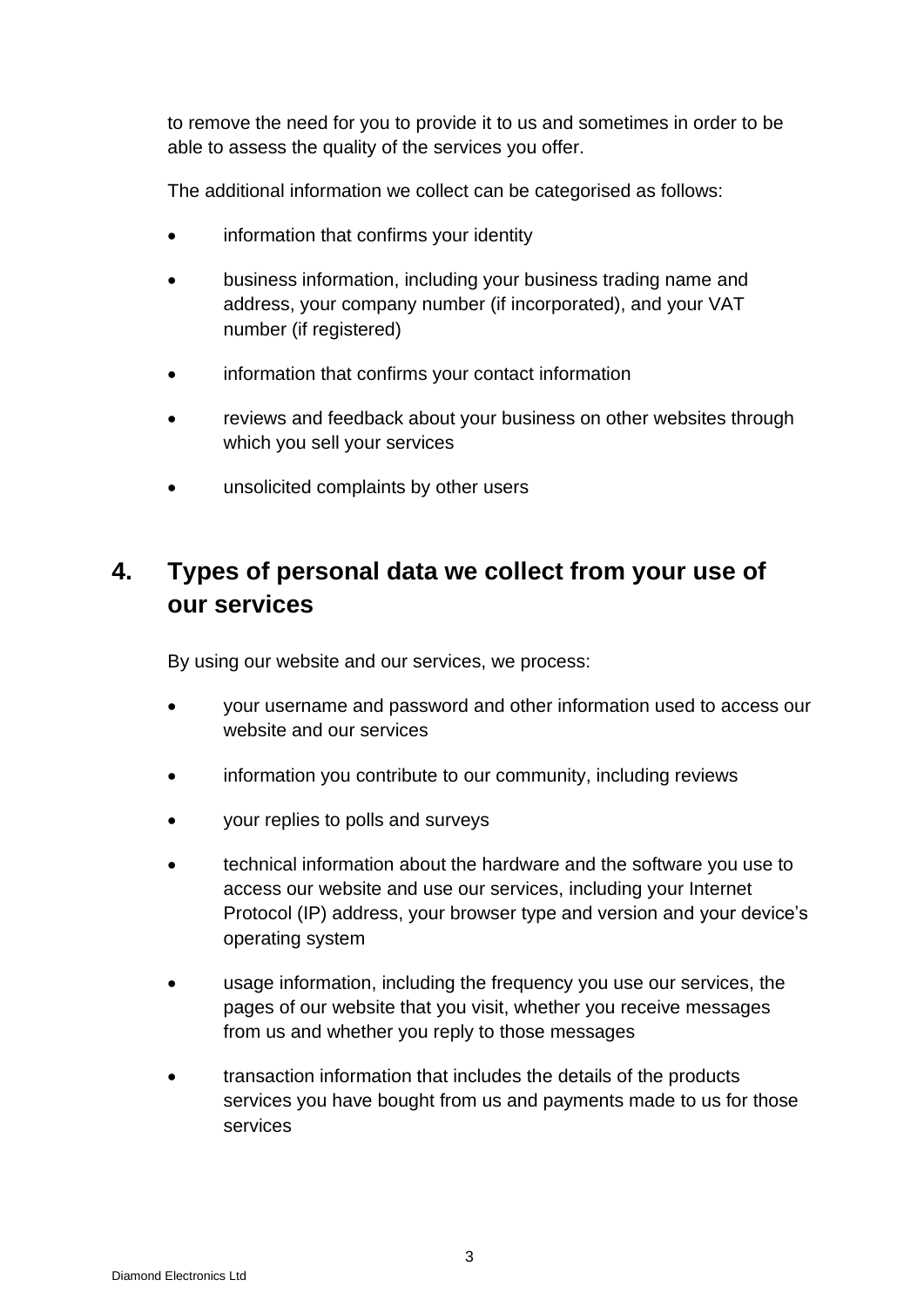to remove the need for you to provide it to us and sometimes in order to be able to assess the quality of the services you offer.

The additional information we collect can be categorised as follows:

- information that confirms your identity
- business information, including your business trading name and address, your company number (if incorporated), and your VAT number (if registered)
- information that confirms your contact information
- reviews and feedback about your business on other websites through which you sell your services
- unsolicited complaints by other users

# **4. Types of personal data we collect from your use of our services**

By using our website and our services, we process:

- your username and password and other information used to access our website and our services
- information you contribute to our community, including reviews
- your replies to polls and surveys
- technical information about the hardware and the software you use to access our website and use our services, including your Internet Protocol (IP) address, your browser type and version and your device's operating system
- usage information, including the frequency you use our services, the pages of our website that you visit, whether you receive messages from us and whether you reply to those messages
- transaction information that includes the details of the products services you have bought from us and payments made to us for those services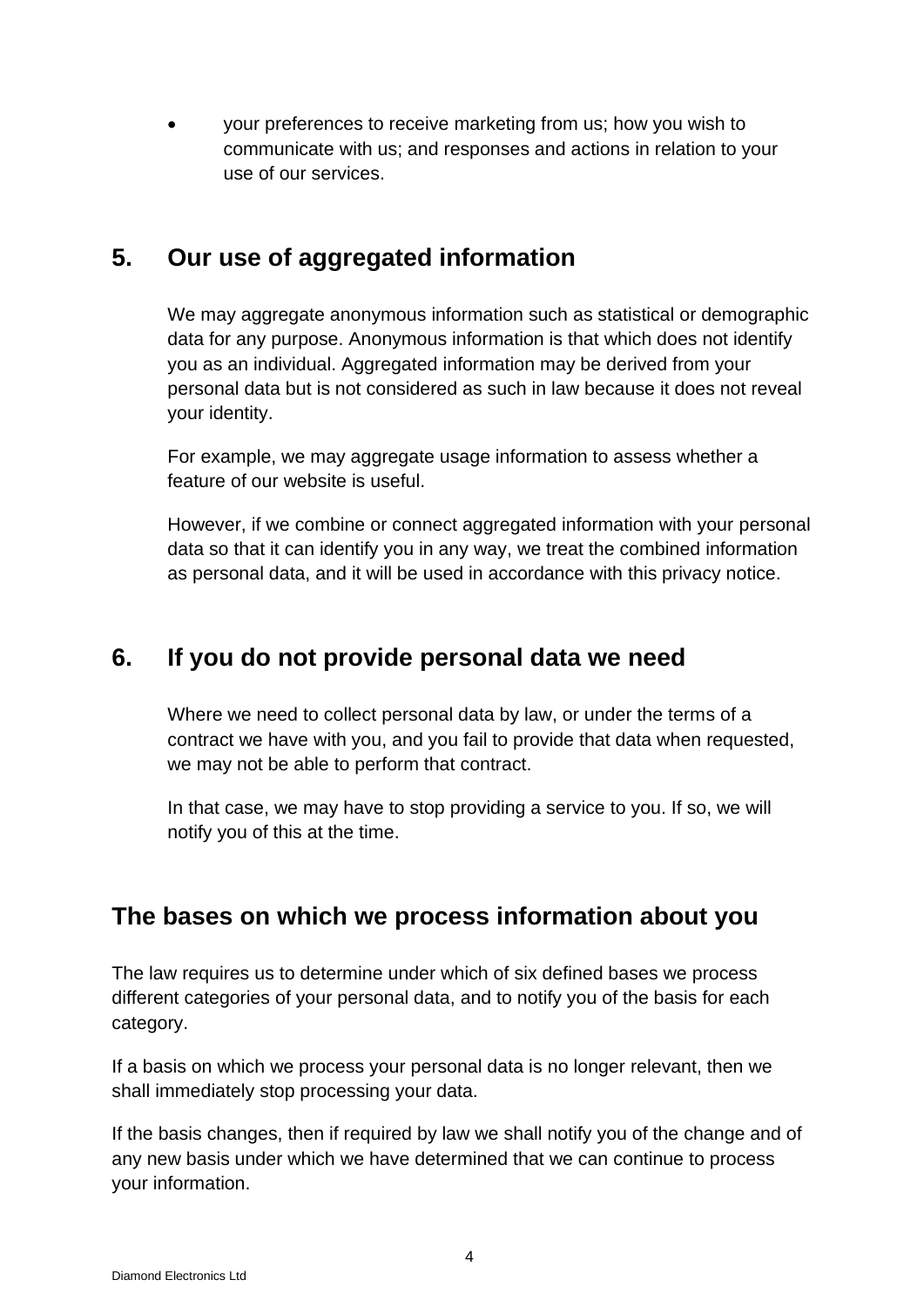• your preferences to receive marketing from us; how you wish to communicate with us; and responses and actions in relation to your use of our services.

#### **5. Our use of aggregated information**

We may aggregate anonymous information such as statistical or demographic data for any purpose. Anonymous information is that which does not identify you as an individual. Aggregated information may be derived from your personal data but is not considered as such in law because it does not reveal your identity.

For example, we may aggregate usage information to assess whether a feature of our website is useful.

However, if we combine or connect aggregated information with your personal data so that it can identify you in any way, we treat the combined information as personal data, and it will be used in accordance with this privacy notice.

#### **6. If you do not provide personal data we need**

Where we need to collect personal data by law, or under the terms of a contract we have with you, and you fail to provide that data when requested, we may not be able to perform that contract.

In that case, we may have to stop providing a service to you. If so, we will notify you of this at the time.

### **The bases on which we process information about you**

The law requires us to determine under which of six defined bases we process different categories of your personal data, and to notify you of the basis for each category.

If a basis on which we process your personal data is no longer relevant, then we shall immediately stop processing your data.

If the basis changes, then if required by law we shall notify you of the change and of any new basis under which we have determined that we can continue to process your information.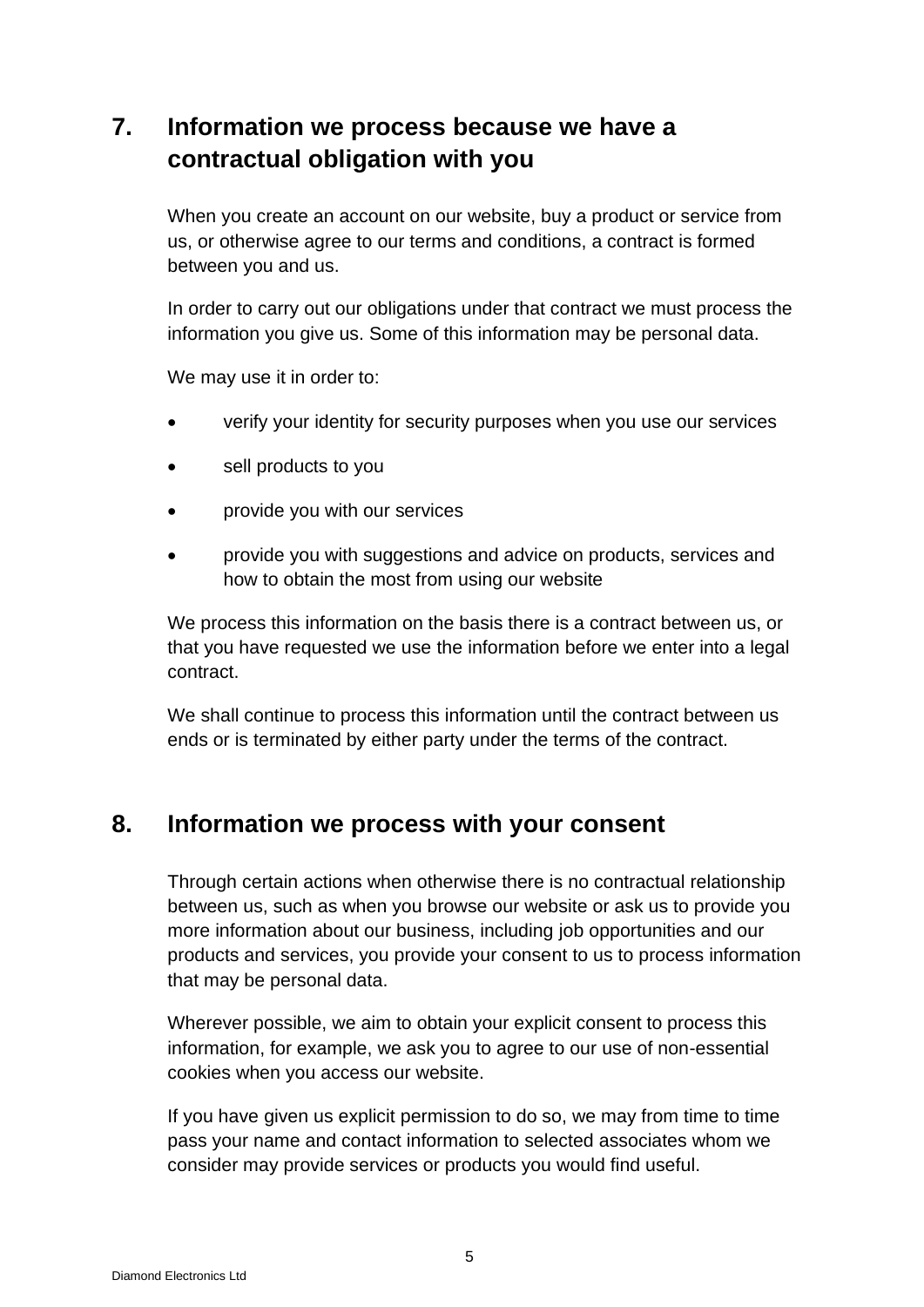# **7. Information we process because we have a contractual obligation with you**

When you create an account on our website, buy a product or service from us, or otherwise agree to our terms and conditions, a contract is formed between you and us.

In order to carry out our obligations under that contract we must process the information you give us. Some of this information may be personal data.

We may use it in order to:

- verify your identity for security purposes when you use our services
- sell products to you
- provide you with our services
- provide you with suggestions and advice on products, services and how to obtain the most from using our website

We process this information on the basis there is a contract between us, or that you have requested we use the information before we enter into a legal contract.

We shall continue to process this information until the contract between us ends or is terminated by either party under the terms of the contract.

#### **8. Information we process with your consent**

Through certain actions when otherwise there is no contractual relationship between us, such as when you browse our website or ask us to provide you more information about our business, including job opportunities and our products and services, you provide your consent to us to process information that may be personal data.

Wherever possible, we aim to obtain your explicit consent to process this information, for example, we ask you to agree to our use of non-essential cookies when you access our website.

If you have given us explicit permission to do so, we may from time to time pass your name and contact information to selected associates whom we consider may provide services or products you would find useful.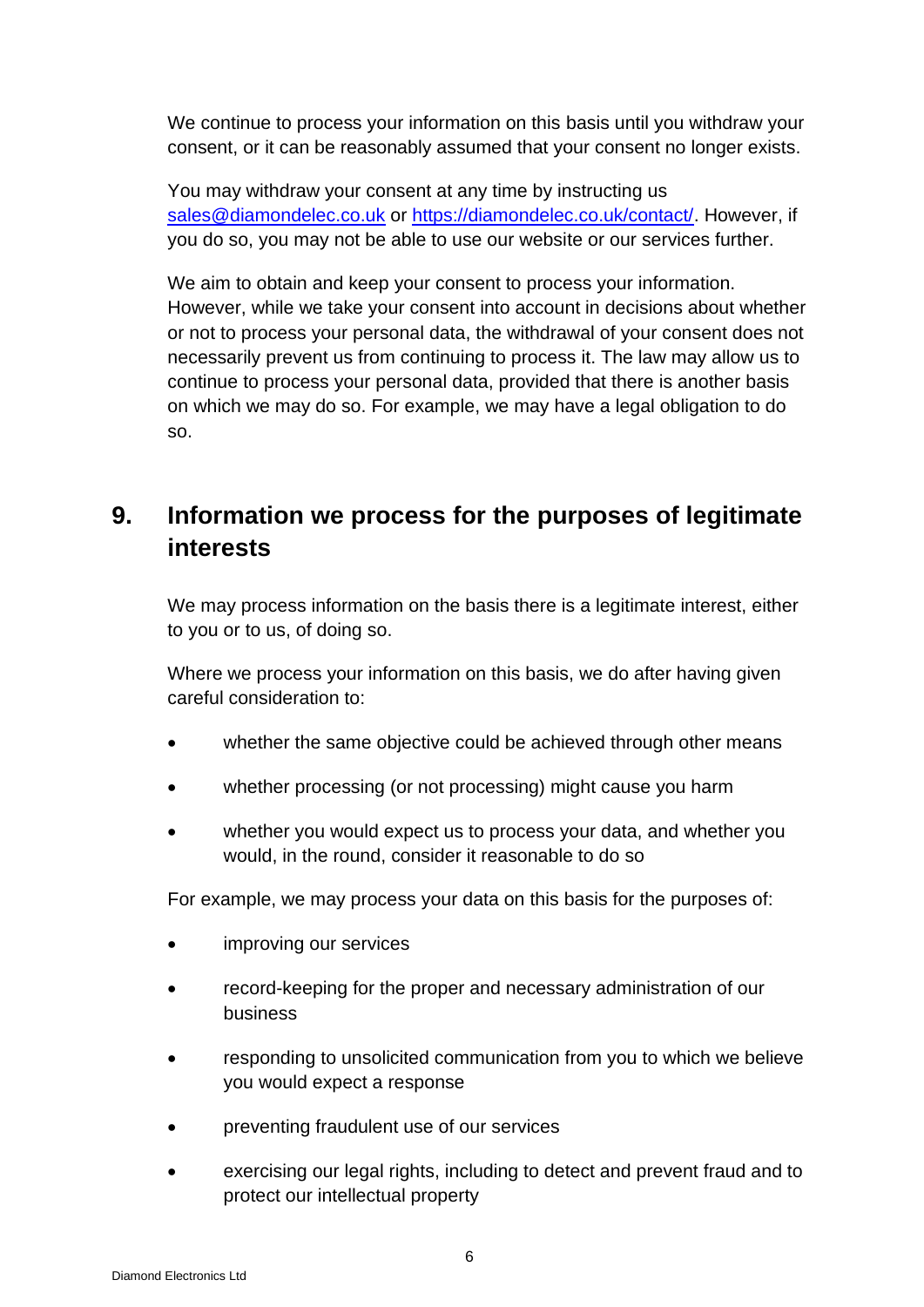We continue to process your information on this basis until you withdraw your consent, or it can be reasonably assumed that your consent no longer exists.

You may withdraw your consent at any time by instructing us [sales@diamondelec.co.uk](mailto:sales@diamondelec.co.uk) or [https://diamondelec.co.uk/contact/.](https://diamondelec.co.uk/contact/) However, if you do so, you may not be able to use our website or our services further.

We aim to obtain and keep your consent to process your information. However, while we take your consent into account in decisions about whether or not to process your personal data, the withdrawal of your consent does not necessarily prevent us from continuing to process it. The law may allow us to continue to process your personal data, provided that there is another basis on which we may do so. For example, we may have a legal obligation to do so.

# **9. Information we process for the purposes of legitimate interests**

We may process information on the basis there is a legitimate interest, either to you or to us, of doing so.

Where we process your information on this basis, we do after having given careful consideration to:

- whether the same objective could be achieved through other means
- whether processing (or not processing) might cause you harm
- whether you would expect us to process your data, and whether you would, in the round, consider it reasonable to do so

For example, we may process your data on this basis for the purposes of:

- improving our services
- record-keeping for the proper and necessary administration of our business
- responding to unsolicited communication from you to which we believe you would expect a response
- preventing fraudulent use of our services
- exercising our legal rights, including to detect and prevent fraud and to protect our intellectual property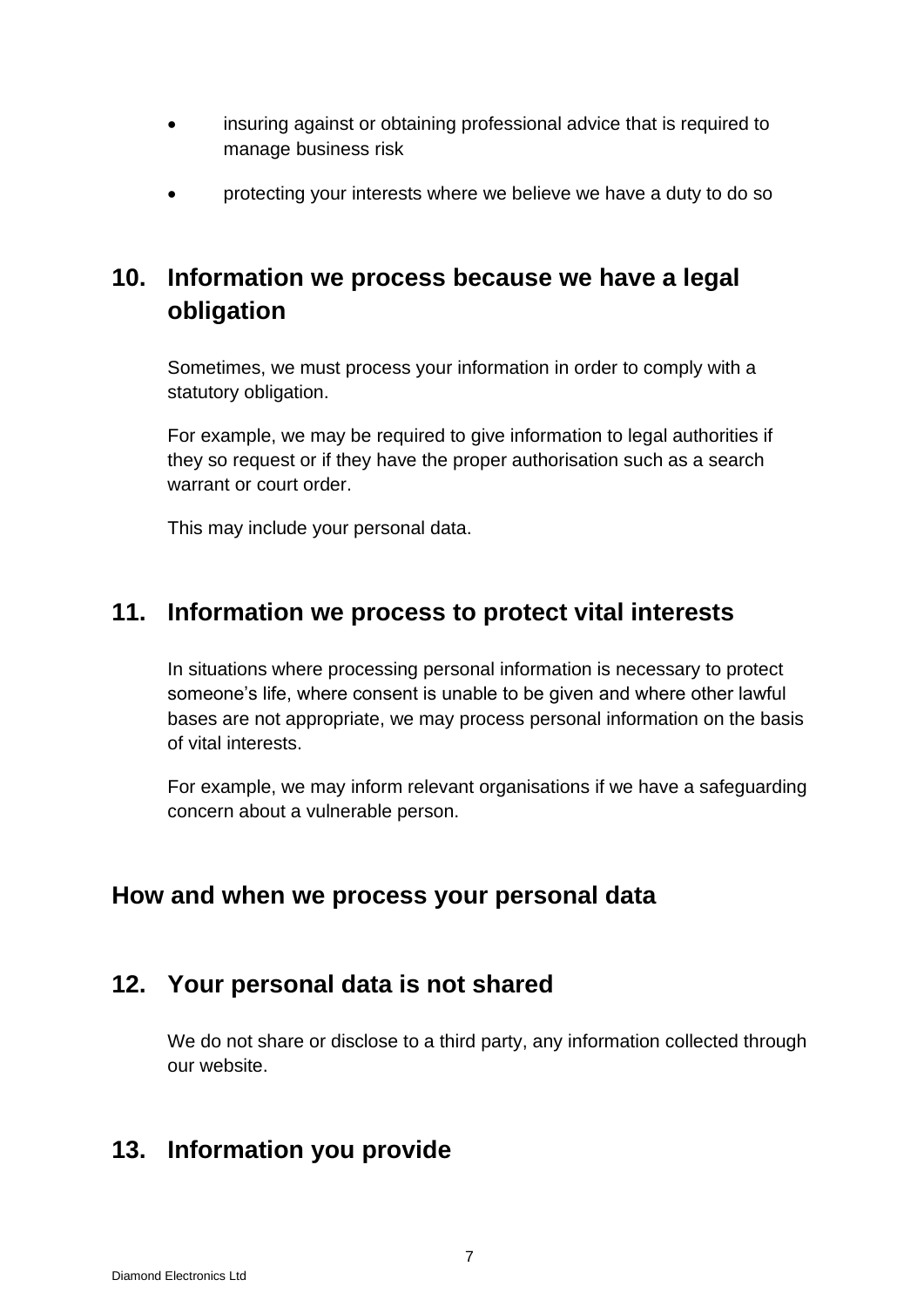- insuring against or obtaining professional advice that is required to manage business risk
- protecting your interests where we believe we have a duty to do so

# **10. Information we process because we have a legal obligation**

Sometimes, we must process your information in order to comply with a statutory obligation.

For example, we may be required to give information to legal authorities if they so request or if they have the proper authorisation such as a search warrant or court order.

This may include your personal data.

#### **11. Information we process to protect vital interests**

In situations where processing personal information is necessary to protect someone's life, where consent is unable to be given and where other lawful bases are not appropriate, we may process personal information on the basis of vital interests.

For example, we may inform relevant organisations if we have a safeguarding concern about a vulnerable person.

#### **How and when we process your personal data**

#### **12. Your personal data is not shared**

We do not share or disclose to a third party, any information collected through our website.

### **13. Information you provide**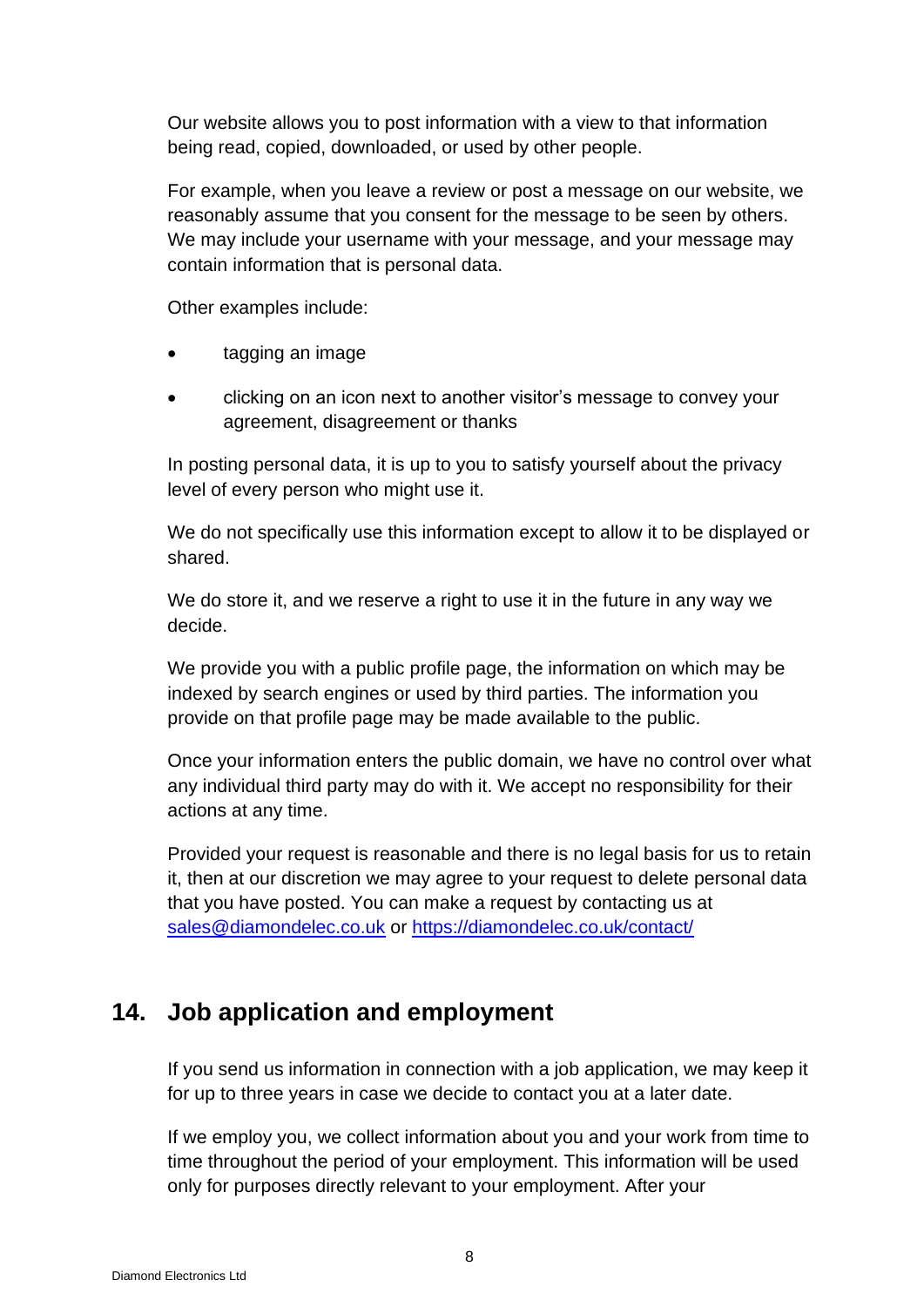Our website allows you to post information with a view to that information being read, copied, downloaded, or used by other people.

For example, when you leave a review or post a message on our website, we reasonably assume that you consent for the message to be seen by others. We may include your username with your message, and your message may contain information that is personal data.

Other examples include:

- tagging an image
- clicking on an icon next to another visitor's message to convey your agreement, disagreement or thanks

In posting personal data, it is up to you to satisfy yourself about the privacy level of every person who might use it.

We do not specifically use this information except to allow it to be displayed or shared.

We do store it, and we reserve a right to use it in the future in any way we decide.

We provide you with a public profile page, the information on which may be indexed by search engines or used by third parties. The information you provide on that profile page may be made available to the public.

Once your information enters the public domain, we have no control over what any individual third party may do with it. We accept no responsibility for their actions at any time.

Provided your request is reasonable and there is no legal basis for us to retain it, then at our discretion we may agree to your request to delete personal data that you have posted. You can make a request by contacting us at [sales@diamondelec.co.uk](mailto:sales@diamondelec.co.uk) or<https://diamondelec.co.uk/contact/>

# **14. Job application and employment**

If you send us information in connection with a job application, we may keep it for up to three years in case we decide to contact you at a later date.

If we employ you, we collect information about you and your work from time to time throughout the period of your employment. This information will be used only for purposes directly relevant to your employment. After your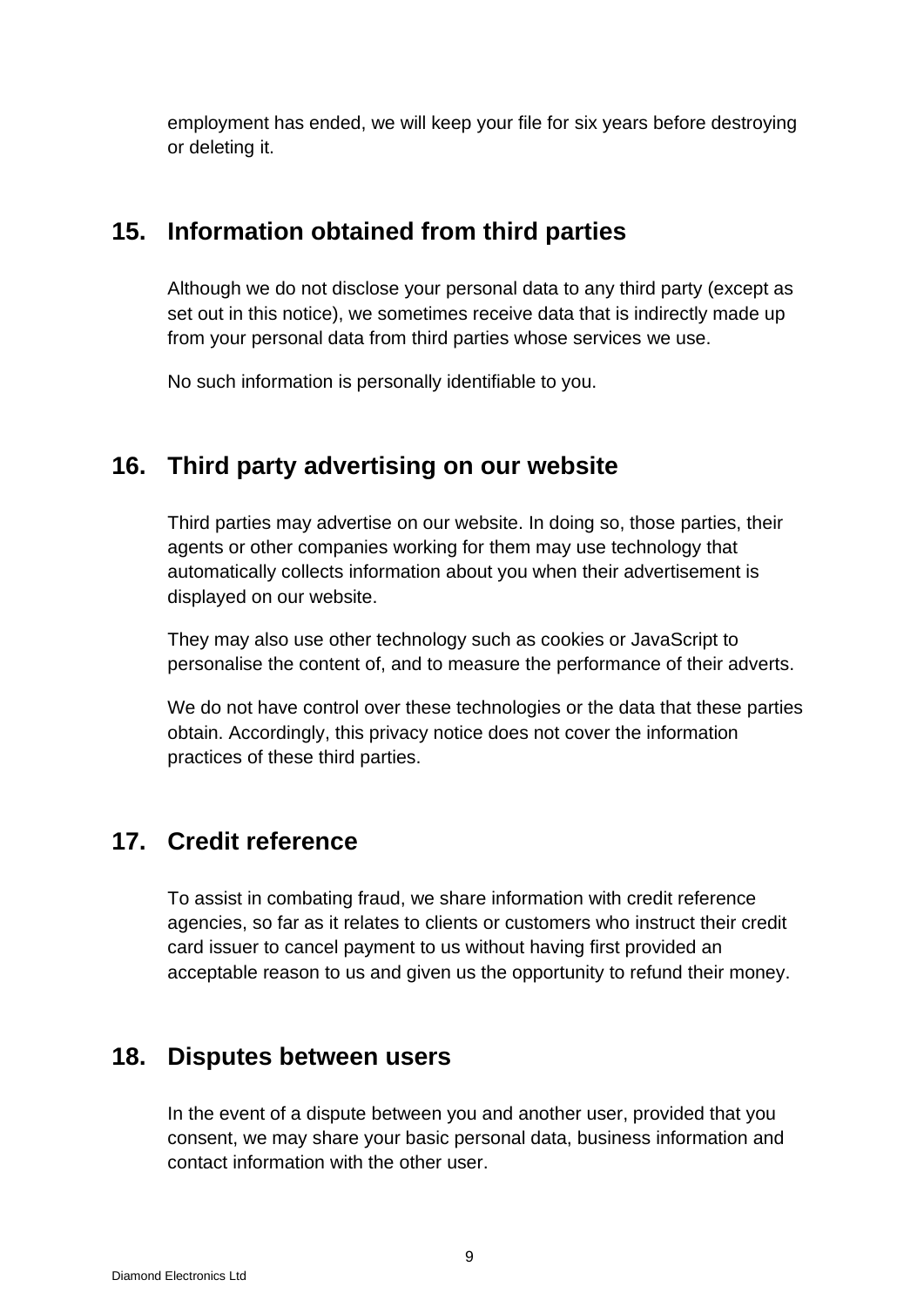employment has ended, we will keep your file for six years before destroying or deleting it.

### **15. Information obtained from third parties**

Although we do not disclose your personal data to any third party (except as set out in this notice), we sometimes receive data that is indirectly made up from your personal data from third parties whose services we use.

No such information is personally identifiable to you.

## **16. Third party advertising on our website**

Third parties may advertise on our website. In doing so, those parties, their agents or other companies working for them may use technology that automatically collects information about you when their advertisement is displayed on our website.

They may also use other technology such as cookies or JavaScript to personalise the content of, and to measure the performance of their adverts.

We do not have control over these technologies or the data that these parties obtain. Accordingly, this privacy notice does not cover the information practices of these third parties.

### **17. Credit reference**

To assist in combating fraud, we share information with credit reference agencies, so far as it relates to clients or customers who instruct their credit card issuer to cancel payment to us without having first provided an acceptable reason to us and given us the opportunity to refund their money.

### **18. Disputes between users**

In the event of a dispute between you and another user, provided that you consent, we may share your basic personal data, business information and contact information with the other user.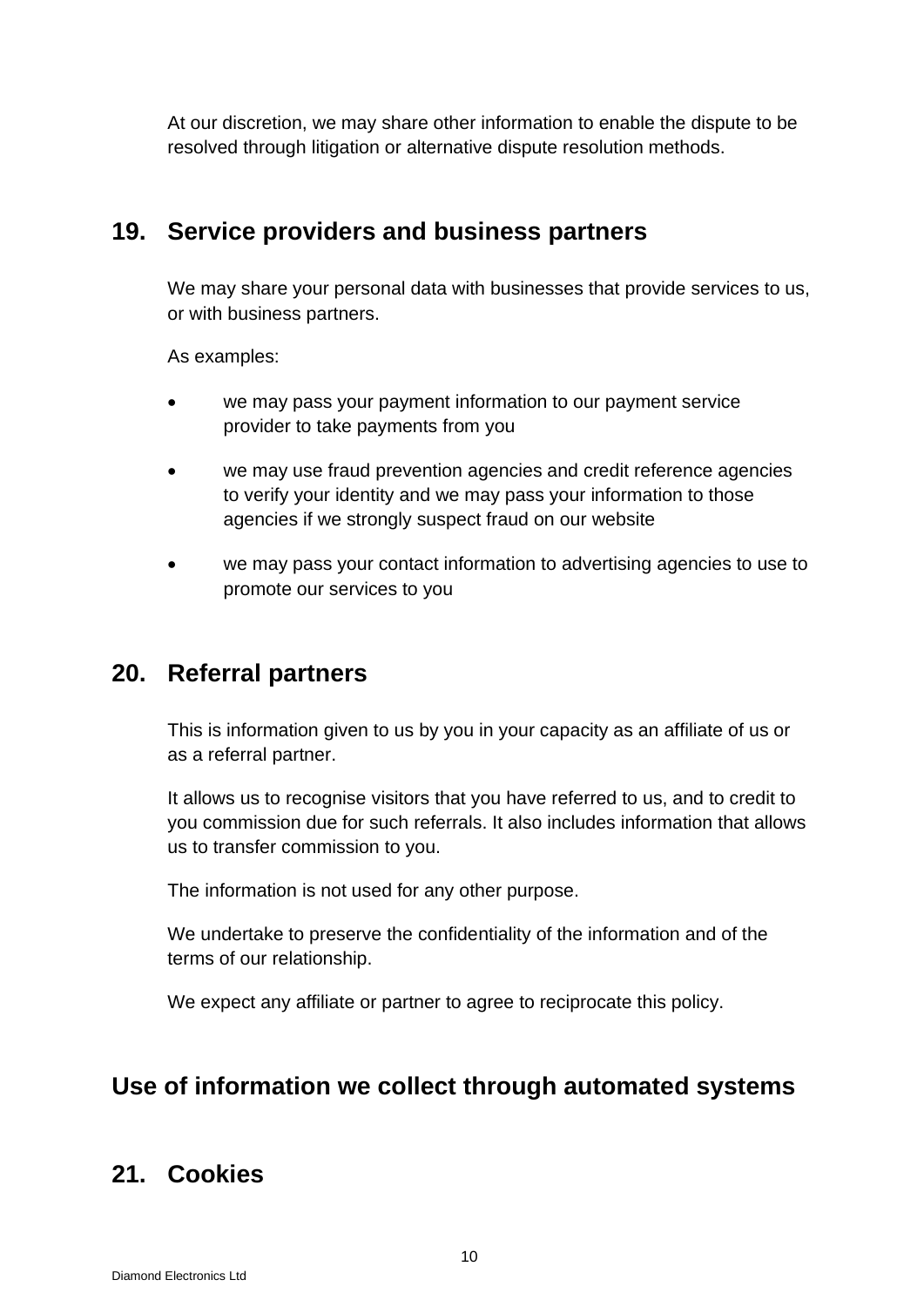At our discretion, we may share other information to enable the dispute to be resolved through litigation or alternative dispute resolution methods.

#### **19. Service providers and business partners**

We may share your personal data with businesses that provide services to us, or with business partners.

As examples:

- we may pass your payment information to our payment service provider to take payments from you
- we may use fraud prevention agencies and credit reference agencies to verify your identity and we may pass your information to those agencies if we strongly suspect fraud on our website
- we may pass your contact information to advertising agencies to use to promote our services to you

#### **20. Referral partners**

This is information given to us by you in your capacity as an affiliate of us or as a referral partner.

It allows us to recognise visitors that you have referred to us, and to credit to you commission due for such referrals. It also includes information that allows us to transfer commission to you.

The information is not used for any other purpose.

We undertake to preserve the confidentiality of the information and of the terms of our relationship.

We expect any affiliate or partner to agree to reciprocate this policy.

### **Use of information we collect through automated systems**

### **21. Cookies**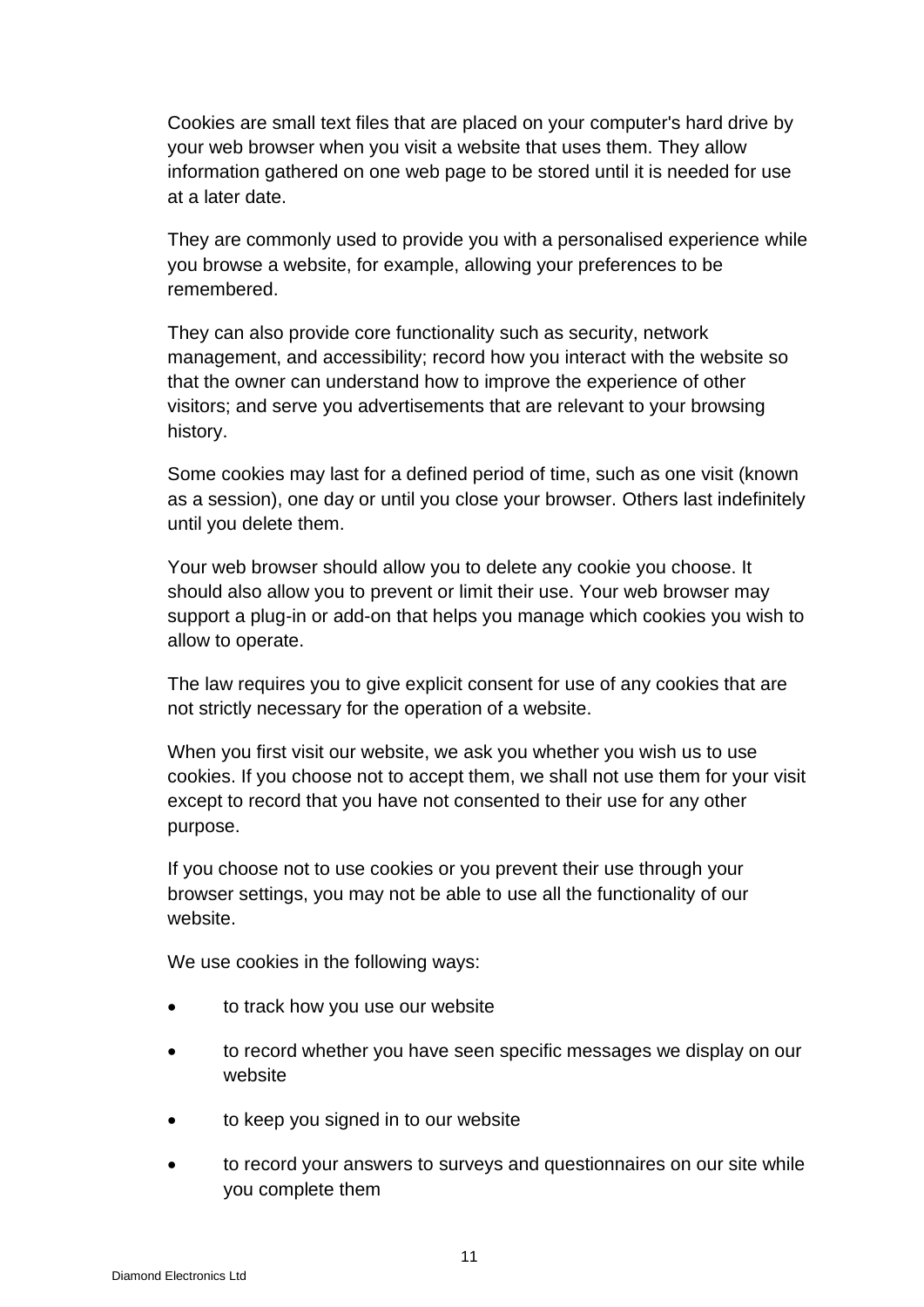Cookies are small text files that are placed on your computer's hard drive by your web browser when you visit a website that uses them. They allow information gathered on one web page to be stored until it is needed for use at a later date.

They are commonly used to provide you with a personalised experience while you browse a website, for example, allowing your preferences to be remembered.

They can also provide core functionality such as security, network management, and accessibility; record how you interact with the website so that the owner can understand how to improve the experience of other visitors; and serve you advertisements that are relevant to your browsing history.

Some cookies may last for a defined period of time, such as one visit (known as a session), one day or until you close your browser. Others last indefinitely until you delete them.

Your web browser should allow you to delete any cookie you choose. It should also allow you to prevent or limit their use. Your web browser may support a plug-in or add-on that helps you manage which cookies you wish to allow to operate.

The law requires you to give explicit consent for use of any cookies that are not strictly necessary for the operation of a website.

When you first visit our website, we ask you whether you wish us to use cookies. If you choose not to accept them, we shall not use them for your visit except to record that you have not consented to their use for any other purpose.

If you choose not to use cookies or you prevent their use through your browser settings, you may not be able to use all the functionality of our website.

We use cookies in the following ways:

- to track how you use our website
- to record whether you have seen specific messages we display on our website
- to keep you signed in to our website
- to record your answers to surveys and questionnaires on our site while you complete them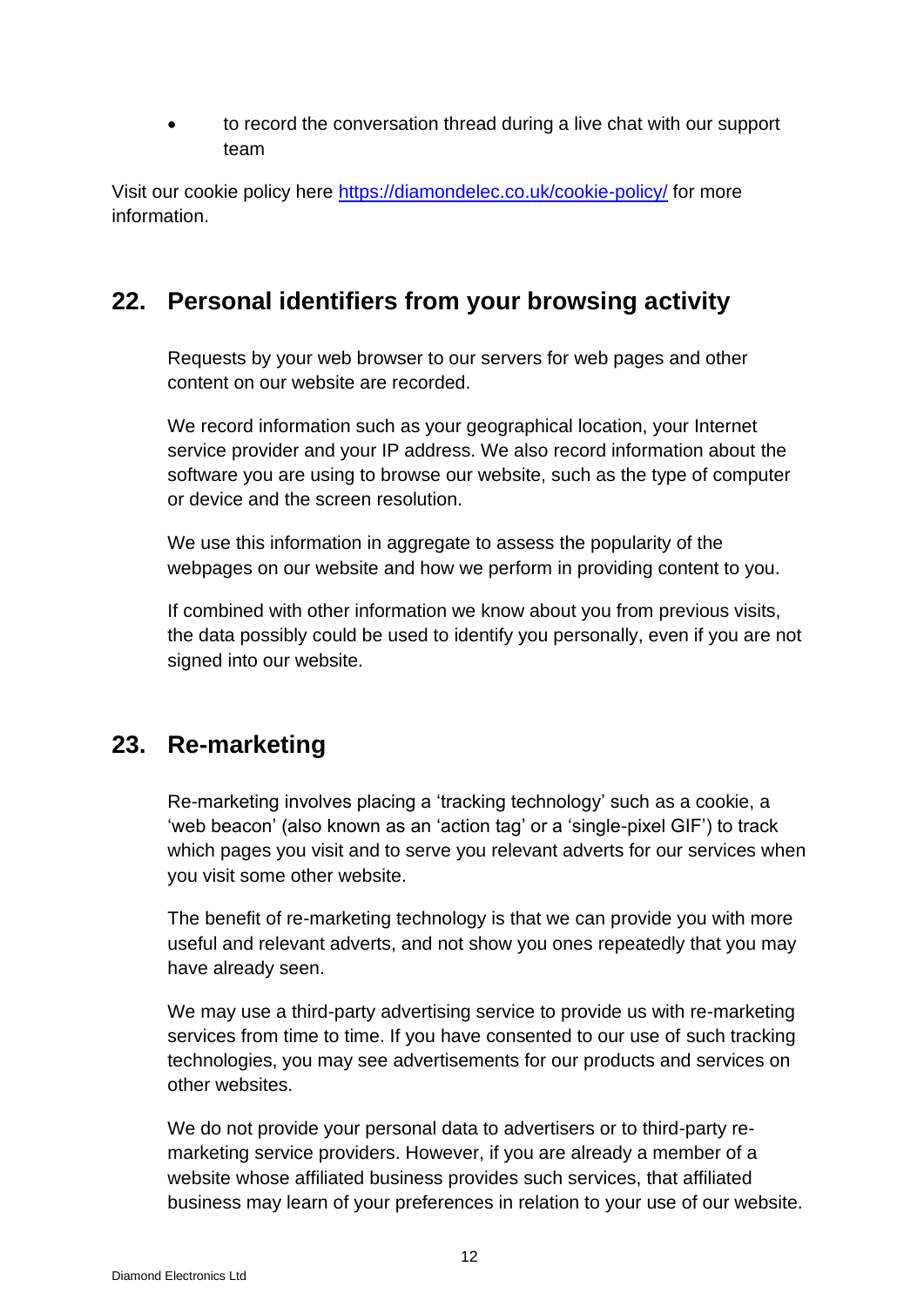• to record the conversation thread during a live chat with our support team

Visit our cookie policy here<https://diamondelec.co.uk/cookie-policy/> for more information.

# **22. Personal identifiers from your browsing activity**

Requests by your web browser to our servers for web pages and other content on our website are recorded.

We record information such as your geographical location, your Internet service provider and your IP address. We also record information about the software you are using to browse our website, such as the type of computer or device and the screen resolution.

We use this information in aggregate to assess the popularity of the webpages on our website and how we perform in providing content to you.

If combined with other information we know about you from previous visits, the data possibly could be used to identify you personally, even if you are not signed into our website.

# **23. Re-marketing**

Re-marketing involves placing a 'tracking technology' such as a cookie, a 'web beacon' (also known as an 'action tag' or a 'single-pixel GIF') to track which pages you visit and to serve you relevant adverts for our services when you visit some other website.

The benefit of re-marketing technology is that we can provide you with more useful and relevant adverts, and not show you ones repeatedly that you may have already seen.

We may use a third-party advertising service to provide us with re-marketing services from time to time. If you have consented to our use of such tracking technologies, you may see advertisements for our products and services on other websites.

We do not provide your personal data to advertisers or to third-party remarketing service providers. However, if you are already a member of a website whose affiliated business provides such services, that affiliated business may learn of your preferences in relation to your use of our website.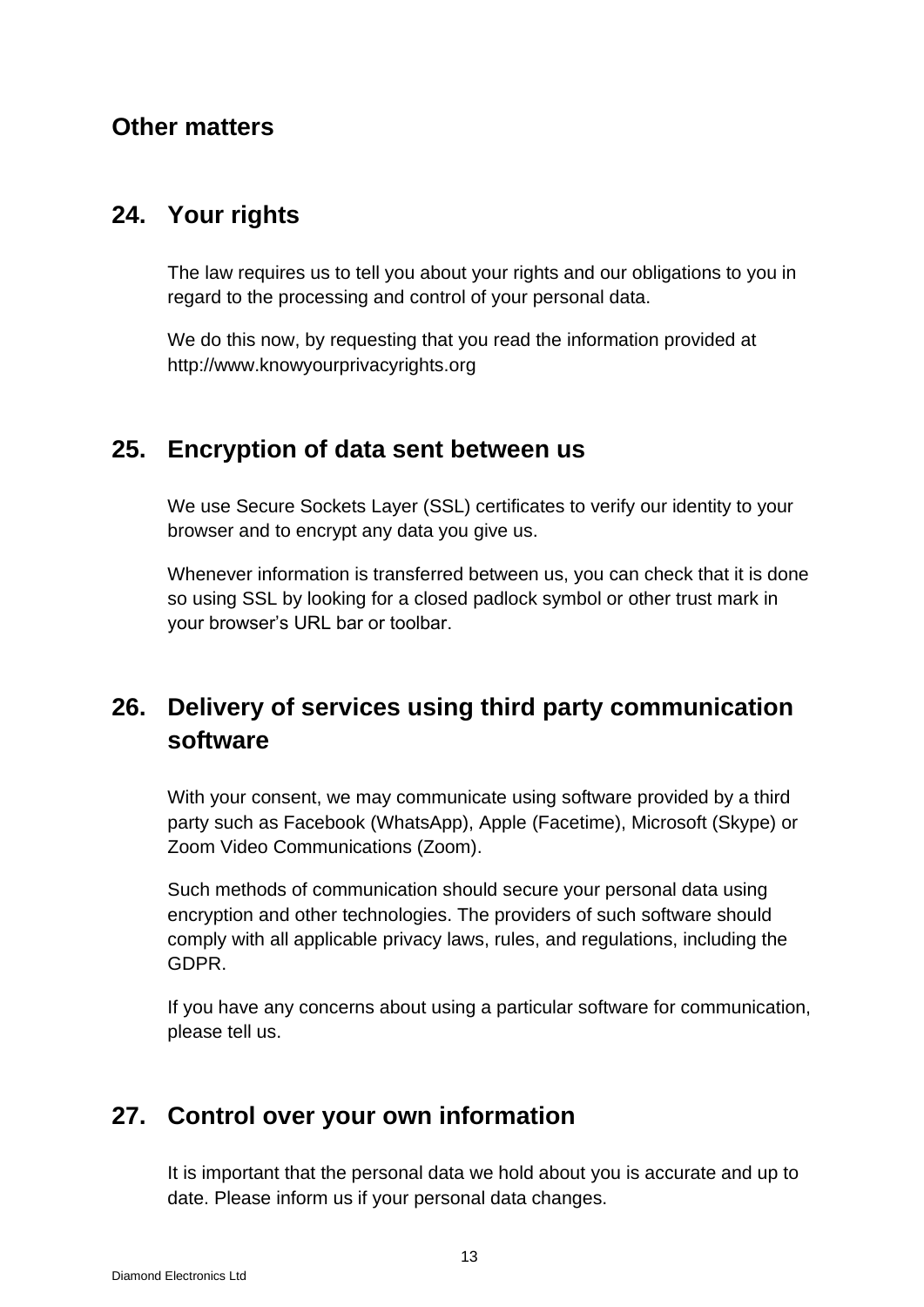#### **Other matters**

#### **24. Your rights**

The law requires us to tell you about your rights and our obligations to you in regard to the processing and control of your personal data.

We do this now, by requesting that you read the information provided at [http://www.knowyourprivacyrights.org](http://www.knowyourprivacyrights.org/)

## **25. Encryption of data sent between us**

We use Secure Sockets Layer (SSL) certificates to verify our identity to your browser and to encrypt any data you give us.

Whenever information is transferred between us, you can check that it is done so using SSL by looking for a closed padlock symbol or other trust mark in your browser's URL bar or toolbar.

# **26. Delivery of services using third party communication software**

With your consent, we may communicate using software provided by a third party such as Facebook (WhatsApp), Apple (Facetime), Microsoft (Skype) or Zoom Video Communications (Zoom).

Such methods of communication should secure your personal data using encryption and other technologies. The providers of such software should comply with all applicable privacy laws, rules, and regulations, including the GDPR.

If you have any concerns about using a particular software for communication, please tell us.

# **27. Control over your own information**

It is important that the personal data we hold about you is accurate and up to date. Please inform us if your personal data changes.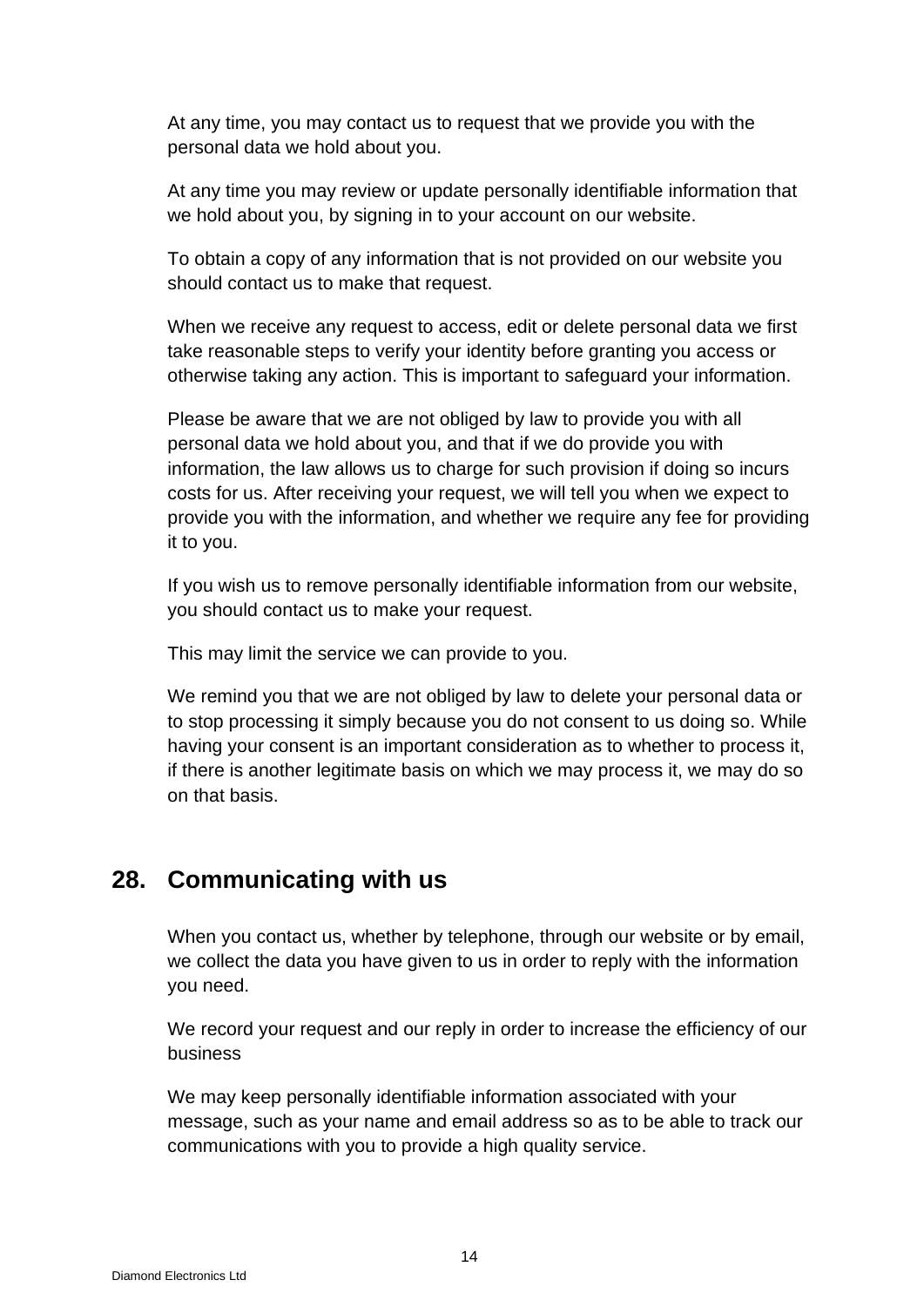At any time, you may contact us to request that we provide you with the personal data we hold about you.

At any time you may review or update personally identifiable information that we hold about you, by signing in to your account on our website.

To obtain a copy of any information that is not provided on our website you should contact us to make that request.

When we receive any request to access, edit or delete personal data we first take reasonable steps to verify your identity before granting you access or otherwise taking any action. This is important to safeguard your information.

Please be aware that we are not obliged by law to provide you with all personal data we hold about you, and that if we do provide you with information, the law allows us to charge for such provision if doing so incurs costs for us. After receiving your request, we will tell you when we expect to provide you with the information, and whether we require any fee for providing it to you.

If you wish us to remove personally identifiable information from our website, you should contact us to make your request.

This may limit the service we can provide to you.

We remind you that we are not obliged by law to delete your personal data or to stop processing it simply because you do not consent to us doing so. While having your consent is an important consideration as to whether to process it, if there is another legitimate basis on which we may process it, we may do so on that basis.

#### **28. Communicating with us**

When you contact us, whether by telephone, through our website or by email, we collect the data you have given to us in order to reply with the information you need.

We record your request and our reply in order to increase the efficiency of our business

We may keep personally identifiable information associated with your message, such as your name and email address so as to be able to track our communications with you to provide a high quality service.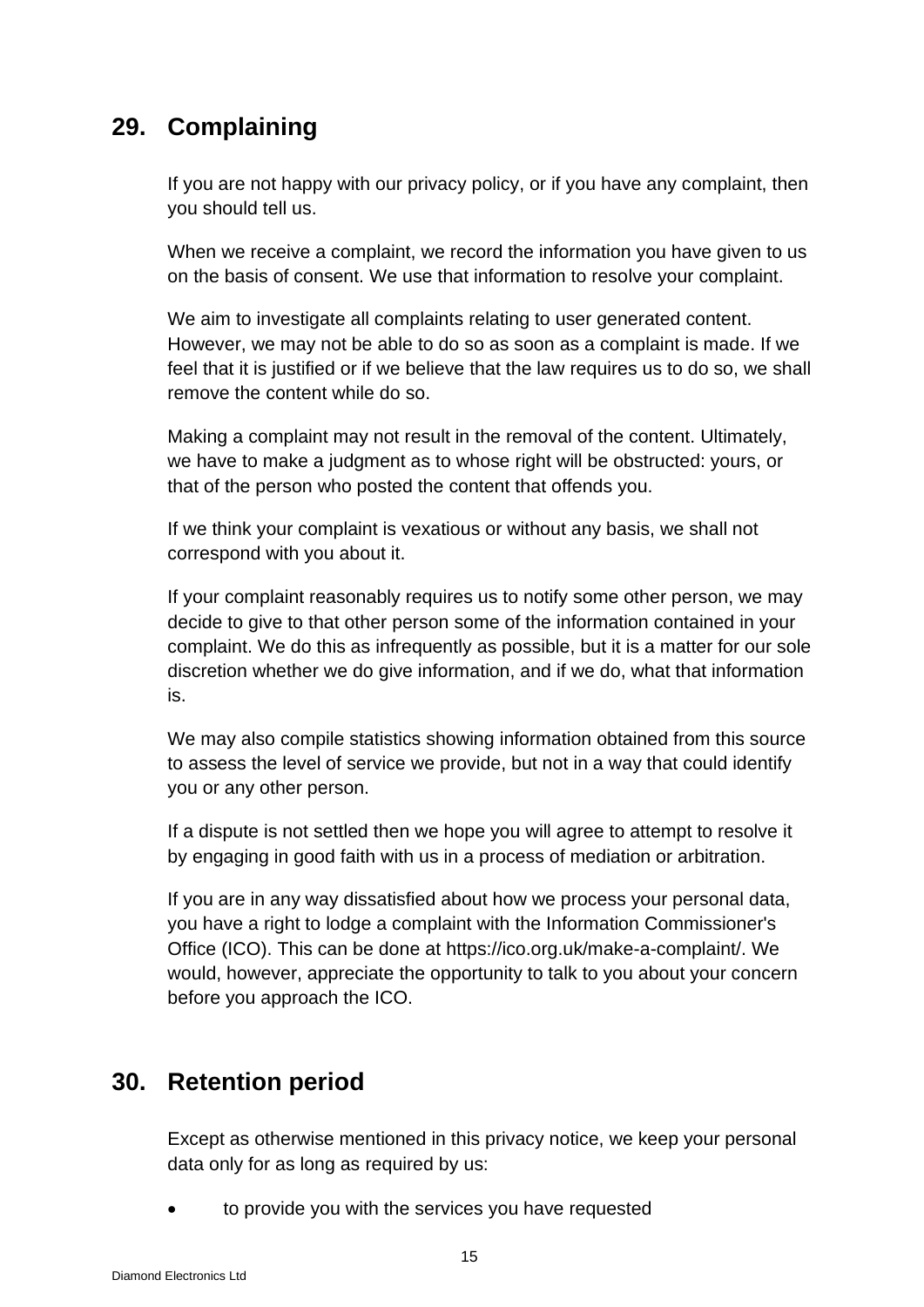## **29. Complaining**

If you are not happy with our privacy policy, or if you have any complaint, then you should tell us.

When we receive a complaint, we record the information you have given to us on the basis of consent. We use that information to resolve your complaint.

We aim to investigate all complaints relating to user generated content. However, we may not be able to do so as soon as a complaint is made. If we feel that it is justified or if we believe that the law requires us to do so, we shall remove the content while do so.

Making a complaint may not result in the removal of the content. Ultimately, we have to make a judgment as to whose right will be obstructed: yours, or that of the person who posted the content that offends you.

If we think your complaint is vexatious or without any basis, we shall not correspond with you about it.

If your complaint reasonably requires us to notify some other person, we may decide to give to that other person some of the information contained in your complaint. We do this as infrequently as possible, but it is a matter for our sole discretion whether we do give information, and if we do, what that information is.

We may also compile statistics showing information obtained from this source to assess the level of service we provide, but not in a way that could identify you or any other person.

If a dispute is not settled then we hope you will agree to attempt to resolve it by engaging in good faith with us in a process of mediation or arbitration.

If you are in any way dissatisfied about how we process your personal data, you have a right to lodge a complaint with the Information Commissioner's Office (ICO). This can be done at [https://ico.org.uk/make-a-complaint/.](https://ico.org.uk/make-a-complaint/) We would, however, appreciate the opportunity to talk to you about your concern before you approach the ICO.

### **30. Retention period**

Except as otherwise mentioned in this privacy notice, we keep your personal data only for as long as required by us:

• to provide you with the services you have requested